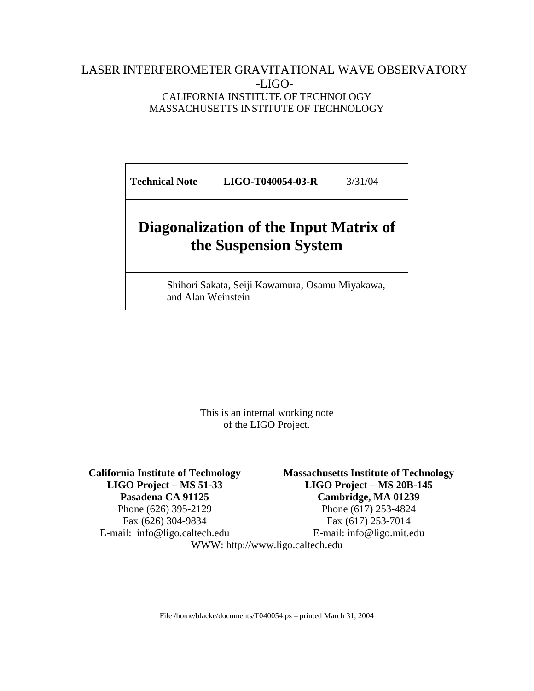#### LASER INTERFEROMETER GRAVITATIONAL WAVE OBSERVATORY -LIGO-CALIFORNIA INSTITUTE OF TECHNOLOGY MASSACHUSETTS INSTITUTE OF TECHNOLOGY

**Technical Note LIGO-T040054-03-R** 3/31/04

# **Diagonalization of the Input Matrix of the Suspension System**

Shihori Sakata, Seiji Kawamura, Osamu Miyakawa, and Alan Weinstein

> This is an internal working note of the LIGO Project.

**California Institute of Technology LIGO Project – MS 51-33 Pasadena CA 91125**  Phone (626) 395-2129

Fax (626) 304-9834 E-mail: info@ligo.caltech.edu **Massachusetts Institute of Technology LIGO Project – MS 20B-145 Cambridge, MA 01239** 

Phone (617) 253-4824 Fax (617) 253-7014 E-mail: info@ligo.mit.edu

WWW: http://www.ligo.caltech.edu

File /home/blacke/documents/T040054.ps – printed March 31, 2004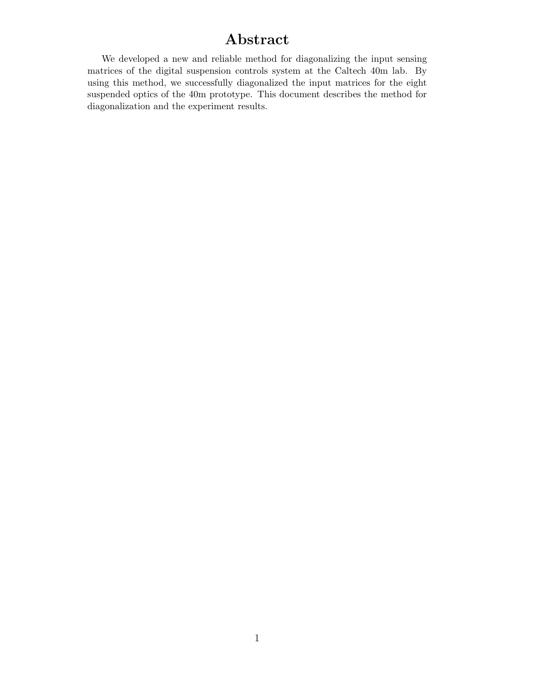#### **Abstract**

We developed a new and reliable method for diagonalizing the input sensing matrices of the digital suspension controls system at the Caltech 40m lab. By using this method, we successfully diagonalized the input matrices for the eight suspended optics of the 40m prototype. This document describes the method for diagonalization and the experiment results.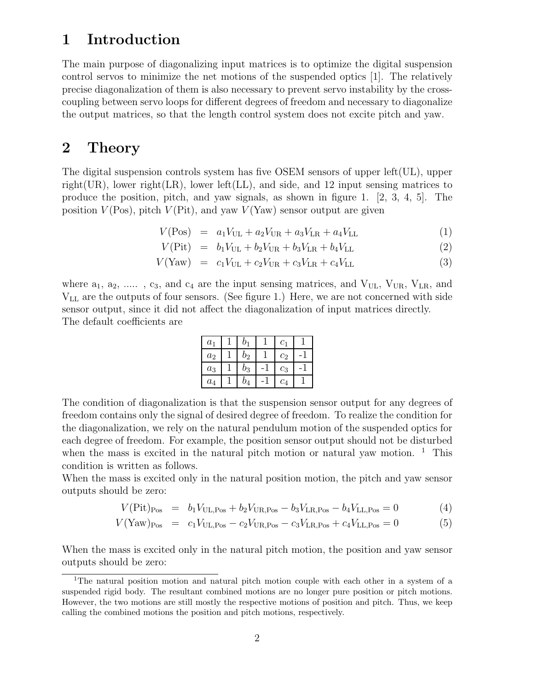#### **1 Introduction**

The main purpose of diagonalizing input matrices is to optimize the digital suspension control servos to minimize the net motions of the suspended optics [1]. The relatively precise diagonalization of them is also necessary to prevent servo instability by the crosscoupling between servo loops for different degrees of freedom and necessary to diagonalize the output matrices, so that the length control system does not excite pitch and yaw.

#### **2 Theory**

The digital suspension controls system has five OSEM sensors of upper left $(UL)$ , upper right(UR), lower right(LR), lower left(LL), and side, and 12 input sensing matrices to produce the position, pitch, and yaw signals, as shown in figure 1.  $[2, 3, 4, 5]$ . The position  $V(\text{Pos})$ , pitch  $V(\text{Pit})$ , and yaw  $V(\text{Yaw})$  sensor output are given

 $V(\text{Pos}) = a_1V_{\text{UL}} + a_2V_{\text{UR}} + a_3V_{\text{LR}} + a_4V_{\text{LL}}$  (1)

$$
V(\text{Pit}) = b_1 V_{\text{UL}} + b_2 V_{\text{UR}} + b_3 V_{\text{LR}} + b_4 V_{\text{LL}} \tag{2}
$$

$$
V(Yaw) = c_1 V_{\text{UL}} + c_2 V_{\text{UR}} + c_3 V_{\text{LR}} + c_4 V_{\text{LL}} \tag{3}
$$

where  $a_1, a_2, \ldots, c_3$ , and  $c_4$  are the input sensing matrices, and  $V_{UL}$ ,  $V_{UR}$ ,  $V_{LR}$ , and VLL are the outputs of four sensors. (See figure 1.) Here, we are not concerned with side sensor output, since it did not affect the diagonalization of input matrices directly. The default coefficients are

| $a_1$          | b1    | c <sub>1</sub> |  |
|----------------|-------|----------------|--|
| a <sub>2</sub> | $b_2$ | c <sub>2</sub> |  |
| $a_3$          | $b_3$ | $c_3$          |  |
| $a_4$          | $b_4$ | $c_4$          |  |

The condition of diagonalization is that the suspension sensor output for any degrees of freedom contains only the signal of desired degree of freedom. To realize the condition for the diagonalization, we rely on the natural pendulum motion of the suspended optics for each degree of freedom. For example, the position sensor output should not be disturbed when the mass is excited in the natural pitch motion or natural yaw motion.  $1$  This condition is written as follows.

When the mass is excited only in the natural position motion, the pitch and yaw sensor outputs should be zero:

$$
V(\text{Pit})_{\text{Pos}} = b_1 V_{\text{UL},\text{Pos}} + b_2 V_{\text{UR},\text{Pos}} - b_3 V_{\text{LR},\text{Pos}} - b_4 V_{\text{LL},\text{Pos}} = 0 \tag{4}
$$

$$
V(\text{Yaw})_{\text{Pos}} = c_1 V_{\text{UL},\text{Pos}} - c_2 V_{\text{UR},\text{Pos}} - c_3 V_{\text{LR},\text{Pos}} + c_4 V_{\text{LL},\text{Pos}} = 0 \tag{5}
$$

When the mass is excited only in the natural pitch motion, the position and yaw sensor outputs should be zero:

<sup>&</sup>lt;sup>1</sup>The natural position motion and natural pitch motion couple with each other in a system of a suspended rigid body. The resultant combined motions are no longer pure position or pitch motions. However, the two motions are still mostly the respective motions of position and pitch. Thus, we keep calling the combined motions the position and pitch motions, respectively.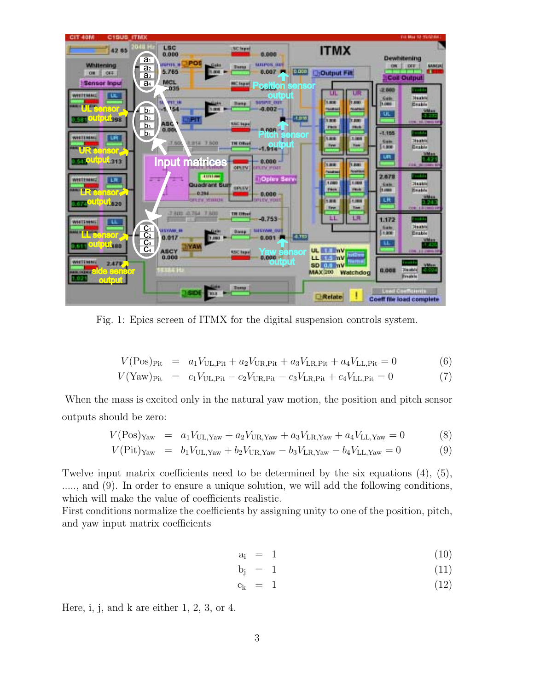

Fig. 1: Epics screen of ITMX for the digital suspension controls system.

$$
V(\text{Pos})_{\text{Fit}} = a_1 V_{\text{UL},\text{Fit}} + a_2 V_{\text{UR},\text{Fit}} + a_3 V_{\text{LR},\text{Fit}} + a_4 V_{\text{LL},\text{Fit}} = 0 \tag{6}
$$

$$
V(\text{Yaw})_{\text{Pit}} = c_1 V_{\text{UL},\text{Pit}} - c_2 V_{\text{UR},\text{Pit}} - c_3 V_{\text{LR},\text{Pit}} + c_4 V_{\text{LL},\text{Pit}} = 0 \tag{7}
$$

When the mass is excited only in the natural yaw motion, the position and pitch sensor outputs should be zero:

$$
V(\text{Pos})_{\text{Yaw}} = a_1 V_{\text{UL,Yaw}} + a_2 V_{\text{UR,Yaw}} + a_3 V_{\text{LR,Yaw}} + a_4 V_{\text{LL,Yaw}} = 0 \tag{8}
$$

$$
V(\text{Pit})_{\text{Yaw}} = b_1 V_{\text{UL,Yaw}} + b_2 V_{\text{UR,Yaw}} - b_3 V_{\text{LR,Yaw}} - b_4 V_{\text{LL,Yaw}} = 0 \tag{9}
$$

Twelve input matrix coefficients need to be determined by the six equations (4), (5), ....., and (9). In order to ensure a unique solution, we will add the following conditions, which will make the value of coefficients realistic.

First conditions normalize the coefficients by assigning unity to one of the position, pitch, and yaw input matrix coefficients

$$
a_i = 1 \tag{10}
$$

$$
b_j = 1 \tag{11}
$$

$$
c_k = 1 \tag{12}
$$

Here, i, j, and k are either 1, 2, 3, or 4.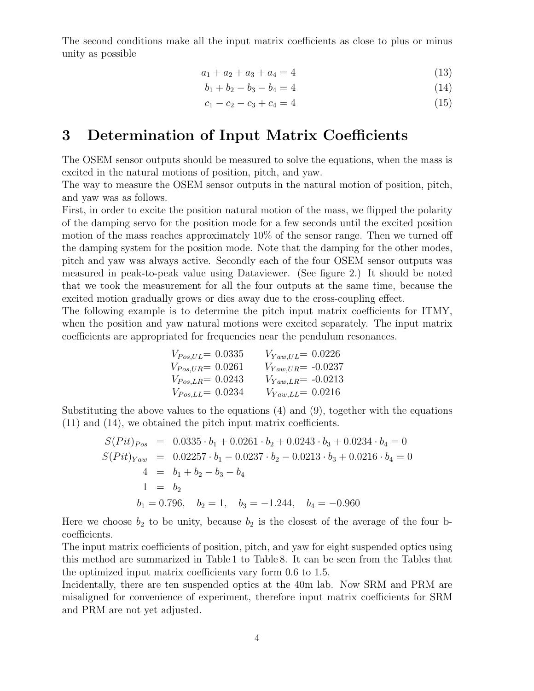The second conditions make all the input matrix coefficients as close to plus or minus unity as possible

$$
a_1 + a_2 + a_3 + a_4 = 4 \tag{13}
$$

$$
b_1 + b_2 - b_3 - b_4 = 4 \tag{14}
$$

$$
c_1 - c_2 - c_3 + c_4 = 4 \tag{15}
$$

#### **3 Determination of Input Matrix Coefficients**

The OSEM sensor outputs should be measured to solve the equations, when the mass is excited in the natural motions of position, pitch, and yaw.

The way to measure the OSEM sensor outputs in the natural motion of position, pitch, and yaw was as follows.

First, in order to excite the position natural motion of the mass, we flipped the polarity of the damping servo for the position mode for a few seconds until the excited position motion of the mass reaches approximately 10% of the sensor range. Then we turned off the damping system for the position mode. Note that the damping for the other modes, pitch and yaw was always active. Secondly each of the four OSEM sensor outputs was measured in peak-to-peak value using Dataviewer. (See figure 2.) It should be noted that we took the measurement for all the four outputs at the same time, because the excited motion gradually grows or dies away due to the cross-coupling effect.

The following example is to determine the pitch input matrix coefficients for ITMY, when the position and yaw natural motions were excited separately. The input matrix coefficients are appropriated for frequencies near the pendulum resonances.

$$
V_{Pos,UL} = 0.0335 \t V_{Yaw,UL} = 0.0226
$$
  
\n
$$
V_{Pos,UR} = 0.0261 \t V_{Yaw,UR} = -0.0237
$$
  
\n
$$
V_{Pos,LR} = 0.0243 \t V_{Yaw,LR} = -0.0213
$$
  
\n
$$
V_{Pos,LL} = 0.0234 \t V_{Yaw,LL} = 0.0216
$$

Substituting the above values to the equations  $(4)$  and  $(9)$ , together with the equations (11) and (14), we obtained the pitch input matrix coefficients.

$$
S(Pit)_{Pos} = 0.0335 \cdot b_1 + 0.0261 \cdot b_2 + 0.0243 \cdot b_3 + 0.0234 \cdot b_4 = 0
$$
  
\n
$$
S(Pit)_{Yaw} = 0.02257 \cdot b_1 - 0.0237 \cdot b_2 - 0.0213 \cdot b_3 + 0.0216 \cdot b_4 = 0
$$
  
\n
$$
4 = b_1 + b_2 - b_3 - b_4
$$
  
\n
$$
1 = b_2
$$
  
\n
$$
b_1 = 0.796, \quad b_2 = 1, \quad b_3 = -1.244, \quad b_4 = -0.960
$$

Here we choose  $b_2$  to be unity, because  $b_2$  is the closest of the average of the four bcoefficients.

The input matrix coefficients of position, pitch, and yaw for eight suspended optics using this method are summarized in Table 1 to Table 8. It can be seen from the Tables that the optimized input matrix coefficients vary form 0.6 to 1.5.

Incidentally, there are ten suspended optics at the 40m lab. Now SRM and PRM are misaligned for convenience of experiment, therefore input matrix coefficients for SRM and PRM are not yet adjusted.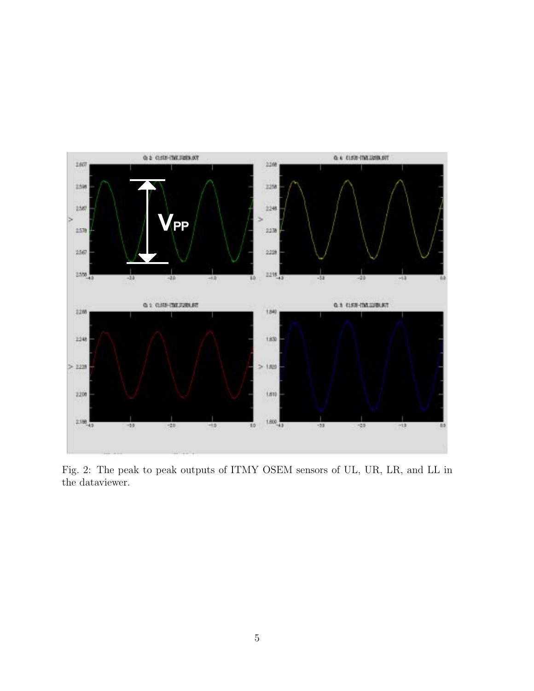

Fig. 2: The peak to peak outputs of ITMY OSEM sensors of UL, UR, LR, and LL in the dataviewer.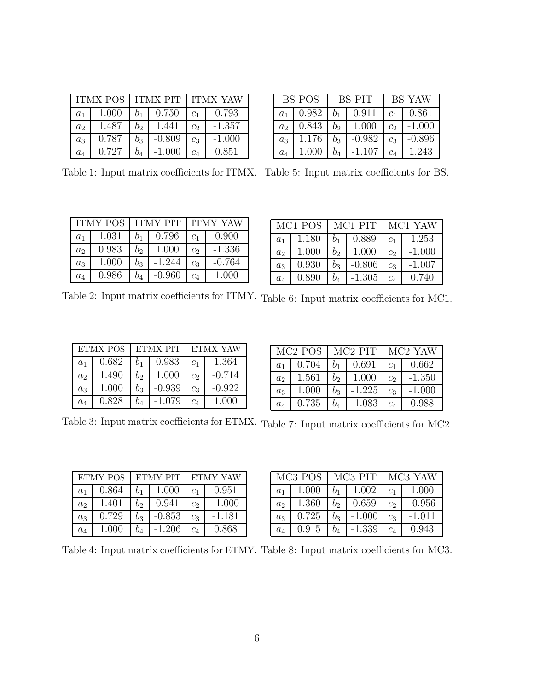|                | <b>ITMX POS</b> | <b>ITMX PIT</b> |          | <b>ITMX YAW</b> |          |
|----------------|-----------------|-----------------|----------|-----------------|----------|
| $a_1$          | 1.000           |                 | 0.750    | C <sub>1</sub>  | 0.793    |
| a <sub>2</sub> | 1.487           | $b_2$           | 1.441    | c <sub>2</sub>  | $-1.357$ |
| $a_3$          | 0.787           | $b_3$           | $-0.809$ | $c_3$           | $-1.000$ |
| $a_4$          | 0.727           |                 | $-1.000$ | $c_4\$          | 0.851    |

|                | BS POS | BS PIT |          | <b>BS YAW</b>  |          |
|----------------|--------|--------|----------|----------------|----------|
| a <sub>1</sub> | 0.982  | $b_1$  | 0.911    | C <sub>1</sub> | 0.861    |
| a <sub>2</sub> | 0.843  | b2     | 1.000    | $c_2$          | $-1.000$ |
| $a_3$          | 1.176  | $b_3$  | $-0.982$ | $c_3$          | $-0.896$ |
| $a_4$          | 1.000  | $b_4$  | -1.107   | $c_4$          | 1.243    |

Table 1: Input matrix coefficients for ITMX. Table 5: Input matrix coefficients for BS.

|                | <b>ITMY POS</b> | <b>ITMY PIT</b> |          | <b>ITMY YAW</b> |          |
|----------------|-----------------|-----------------|----------|-----------------|----------|
| $a_1$          | 1.031           | b1              | 0.796    | C <sub>1</sub>  | 0.900    |
| a <sub>2</sub> | 0.983           | b2              | 1.000    | c <sub>2</sub>  | $-1.336$ |
| $a_3$          | 1.000           | $b_3$           | $-1.244$ | $c_3$           | $-0.764$ |
| $a_4$          | 0.986           | $b_4$           | -0.960   | $c_4\$          | 1.000    |

|                | MC1 POS | MC1 PIT |          | MC1 YAW        |          |
|----------------|---------|---------|----------|----------------|----------|
| $a_1$          | 1.180   | b1      | 0.889    | C <sub>1</sub> | 1.253    |
| a <sub>2</sub> | 1.000   | bo      | 1.000    | c <sub>2</sub> | $-1.000$ |
| $a_3$          | 0.930   | $b_{3}$ | $-0.806$ | c <sub>3</sub> | $-1.007$ |
| $a_4$          | 0.890   | b4      | -1.305   | $c_4$          | 0.740    |

Table 2: Input matrix coefficients for ITMY. Table 6: Input matrix coefficients for MC1.

|                | ETMX POS | ETMX PIT |          | ETMX YAW       |          |
|----------------|----------|----------|----------|----------------|----------|
| $a_1$          | 0.682    |          | 0.983    | $c_{1}$        | 1.364    |
| a <sub>2</sub> | 1.490    | bo       | 1.000    | Сo             | $-0.714$ |
| $a_3$          | 1.000    | $b_3$    | $-0.939$ | c <sub>3</sub> | $-0.922$ |
| $a_4$          | 0.828    |          | -1.079   | $c_4\$         | 1 OOO    |

|                |       | MC <sub>2</sub> POS MC <sub>2</sub> PIT |          | MC <sub>2</sub> YAW |          |
|----------------|-------|-----------------------------------------|----------|---------------------|----------|
| $a_1$          | 0.704 |                                         | 0.691    | C <sub>1</sub>      | 0.662    |
| a <sub>2</sub> | 1.561 | b2                                      | 1.000    | C <sub>2</sub>      | $-1.350$ |
| $a_3$          | 1.000 | bз                                      | $-1.225$ | $\mathcal{C}_3$     | $-1.000$ |
| $a_4$          | 0.735 |                                         | $-1.083$ | $c_4$               | 0.988    |

Table 3: Input matrix coefficients for ETMX. Table 7: Input matrix coefficients for MC2.

|                | <b>ETMY POS</b> | <b>ETMY PIT</b> |          | <b>ETMY YAW</b> |          |
|----------------|-----------------|-----------------|----------|-----------------|----------|
| a <sub>1</sub> | 0.864           | b1              | 1.000    | C <sub>1</sub>  | 0.951    |
| a <sub>2</sub> | 1.401           | $b_2$           | 0.941    | c <sub>2</sub>  | $-1.000$ |
| $a_3$          | 0.729           | $b_3$           | $-0.853$ | $c_3$           | $-1.181$ |
| $a_4$          | 1.000           |                 | $-1.206$ | $c_4\$          | 0.868    |

|                | MC3 POS | MC3 PIT |          | MC3 YAW        |          |
|----------------|---------|---------|----------|----------------|----------|
| a <sub>1</sub> | 1.000   | b1      | 1.002    | C <sub>1</sub> | 1.000    |
| a <sub>2</sub> | 1.360   | b,      | 0.659    | $c_2$          | $-0.956$ |
| $a_3$          | 0.725   | $b_3$   | $-1.000$ | c <sub>3</sub> | $-1.011$ |
| $a_4$          | 0.915   | $b_4$   | $-1.339$ | $\mathit{c}_4$ | 0.943    |

Table 4: Input matrix coefficients for ETMY. Table 8: Input matrix coefficients for MC3.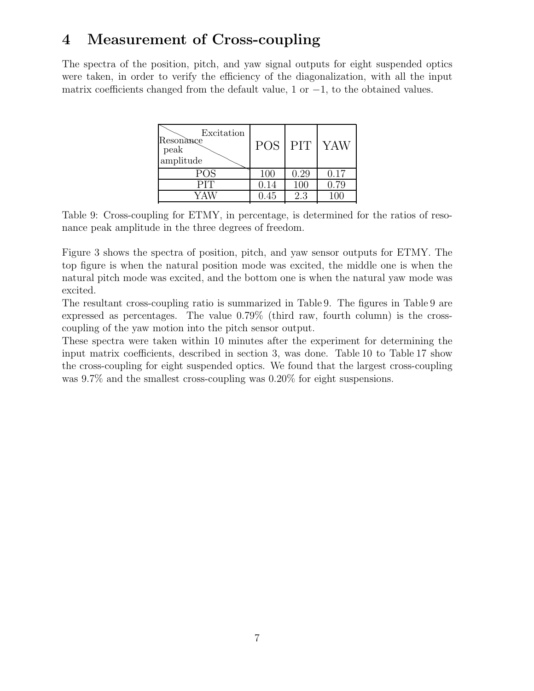#### **4 Measurement of Cross-coupling**

The spectra of the position, pitch, and yaw signal outputs for eight suspended optics were taken, in order to verify the efficiency of the diagonalization, with all the input matrix coefficients changed from the default value, 1 or *−*1, to the obtained values.

| <b>POS</b> | <b>PIT</b> | <b>YAW</b> |
|------------|------------|------------|
| 100        | 0.29       | 0.17       |
| 0.14       | 100        | 0.79       |
| 0.45       | 2.3        |            |
|            |            |            |

Table 9: Cross-coupling for ETMY, in percentage, is determined for the ratios of resonance peak amplitude in the three degrees of freedom.

Figure 3 shows the spectra of position, pitch, and yaw sensor outputs for ETMY. The top figure is when the natural position mode was excited, the middle one is when the natural pitch mode was excited, and the bottom one is when the natural yaw mode was excited.

The resultant cross-coupling ratio is summarized in Table 9. The figures in Table 9 are expressed as percentages. The value 0.79% (third raw, fourth column) is the crosscoupling of the yaw motion into the pitch sensor output.

These spectra were taken within 10 minutes after the experiment for determining the input matrix coefficients, described in section 3, was done. Table 10 to Table 17 show the cross-coupling for eight suspended optics. We found that the largest cross-coupling was 9*.*7% and the smallest cross-coupling was 0*.*20% for eight suspensions.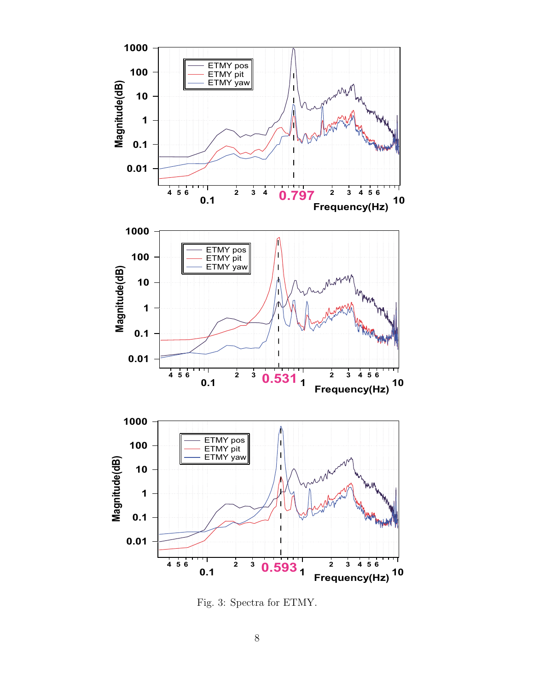

Fig. 3: Spectra for ETMY.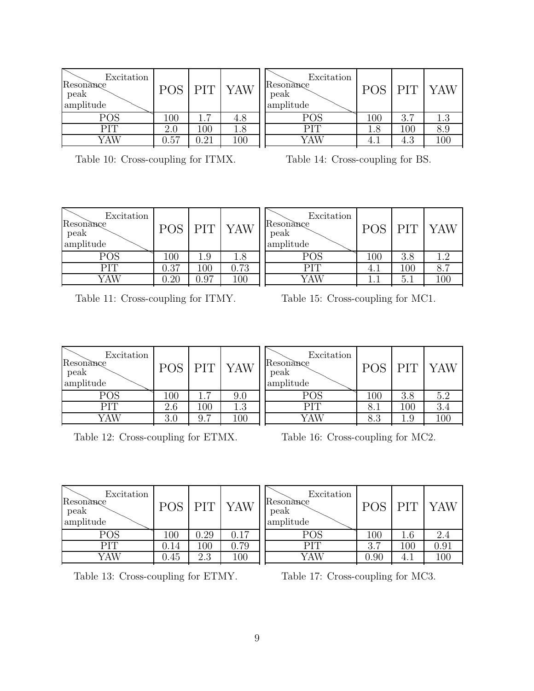| Excitation<br>Resonance<br>peak<br>amplitude | <b>POS</b> | <b>PIT</b> | <b>YAW</b> |
|----------------------------------------------|------------|------------|------------|
| <b>POS</b>                                   | 100        | 1.7        | 4.8        |
| PIT                                          | 2.0        | 100        | 1.8        |
| YAW                                          | 0.57       | $0.21\,$   |            |

| Excitation<br>Resonance<br>peak<br>amplitude | <b>POS</b> | <b>PIT</b> | <b>YAW</b> |
|----------------------------------------------|------------|------------|------------|
| <b>POS</b>                                   | 100        | 3.7        | 1.3        |
| PIT                                          | $1.8\,$    | $100\,$    | ≺ 9        |
|                                              |            | $4^{9}$    |            |
|                                              |            |            |            |

|  | Table 10: Cross-coupling for ITMX. |  |  |  |
|--|------------------------------------|--|--|--|
|--|------------------------------------|--|--|--|

Table 14: Cross-coupling for BS.

| Excitation<br>Resonance<br>peak<br>amplitude | POS     | PIT     | YAW     | Excitation<br>Resonance<br>peak<br>amplitude |     | PIT | YAW |
|----------------------------------------------|---------|---------|---------|----------------------------------------------|-----|-----|-----|
| POS                                          | $100\,$ | 1.9     | $1.8\,$ | POS                                          | 100 | 3.8 | 1 ງ |
| PIT                                          | 0.37    | $100\,$ | 0.73    | PIT                                          | 4.1 | 100 | 8.7 |
| YAW                                          | 0.20    | 0.97    | 100     | YAW                                          | 1.1 | 5.1 | 100 |

Table 11: Cross-coupling for ITMY.

Table 15: Cross-coupling for MC1.

| Excitation<br>Resonance<br>peak<br>amplitude |         | PIT <sup></sup>       | YAW     | Excitation<br>Resonance<br>peak<br>amplitude |         | PIT | YAJ |
|----------------------------------------------|---------|-----------------------|---------|----------------------------------------------|---------|-----|-----|
| POS                                          | $100\,$ | $\overline{ }$        | 9.0     | POS                                          | $100\,$ | 3.8 | 5.2 |
| PIT                                          | 2.6     | 100                   | $1.3\,$ | PIT                                          | 8.1     | 100 | 3.4 |
| YAW                                          | 3.0     | $\overline{ }$<br>9.7 | 100     | √AW                                          | 8.3     | 1.9 | 100 |
|                                              |         |                       |         |                                              |         |     |     |

Table 12: Cross-coupling for ETMX.

Table 16: Cross-coupling for MC2.

Resonance<br>
peak<br>
amplitude

Excitation

Resonance peak amplitude POS PIT YAW

POS PIT YAW

| Excitation<br>Resonance<br>peak<br>amplitude | <b>POS</b> | <b>PIT</b> | <b>YAW</b> |
|----------------------------------------------|------------|------------|------------|
| <b>POS</b>                                   | 100        | 0.29       | 0.17       |
| <b>PIT</b>                                   | 0.14       | 100        | 0.79       |
| YAW                                          | 0.45       | 2.3        |            |
|                                              |            |            |            |

Table 13: Cross-coupling for ETMY.

Table 17: Cross-coupling for MC3.

POS 7 100 1.6 2.4

PIT 3.7 100 0.91<br>YAW 0.90 4.1 100 YAW 0.90 4.1 100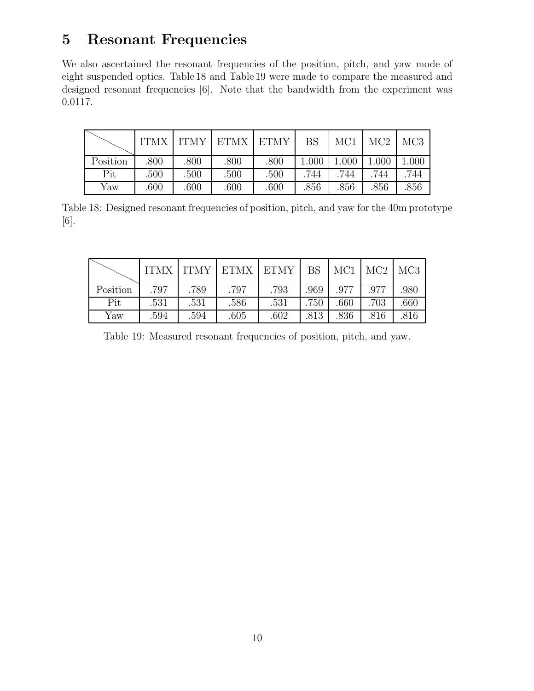### **5 Resonant Frequencies**

We also ascertained the resonant frequencies of the position, pitch, and yaw mode of eight suspended optics. Table 18 and Table 19 were made to compare the measured and designed resonant frequencies [6]. Note that the bandwidth from the experiment was 0.0117.

|          | <b>ITMX</b> |      | ITMY   ETMX   ETMY |      | BS    | MC1   | MC2   | MC <sub>3</sub> |
|----------|-------------|------|--------------------|------|-------|-------|-------|-----------------|
| Position | .800        | .800 | .800               | .800 | 1.000 | 1.000 | 1.000 | 1.000           |
| Pit      | .500        | .500 | .500               | .500 | 744   | .744  | .744  | 744             |
| Yaw      | .600        | .600 | .600               | .600 | .856  | .856  | .856  | .856            |

Table 18: Designed resonant frequencies of position, pitch, and yaw for the 40m prototype [6].

|          | <b>ITMX</b> |      | ITMY   ETMX   ETMY |      | BS   | MC1  | $MC2$ $MC3$ |      |
|----------|-------------|------|--------------------|------|------|------|-------------|------|
| Position | .797        | .789 | .797               | .793 | .969 | .977 | .977        | .980 |
| Pit      | .531        | .531 | .586               | .531 | .750 | .660 | .703        | .660 |
| Yaw      | .594        | 594  | .605               | .602 | .813 | .836 | 816         | .816 |

Table 19: Measured resonant frequencies of position, pitch, and yaw.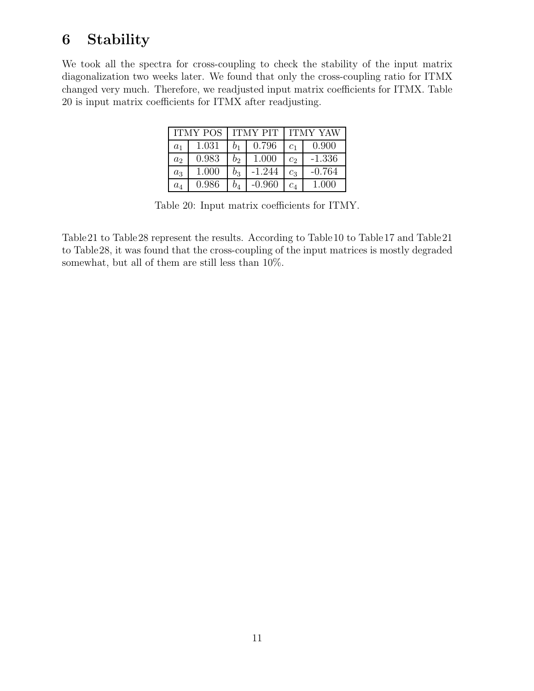### **6 Stability**

We took all the spectra for cross-coupling to check the stability of the input matrix diagonalization two weeks later. We found that only the cross-coupling ratio for ITMX changed very much. Therefore, we readjusted input matrix coefficients for ITMX. Table 20 is input matrix coefficients for ITMX after readjusting.

|                | <b>ITMY POS</b> |    | <b>ITMY PIT</b> | <b>ITMY YAW</b> |          |  |
|----------------|-----------------|----|-----------------|-----------------|----------|--|
| a <sub>1</sub> | 1.031           |    | 0.796           | C <sub>1</sub>  | 0.900    |  |
| a <sub>2</sub> | 0.983           | O2 | 1.000           | $c_2$           | $-1.336$ |  |
| $a_3$          | 1.000           | O3 | $-1.244$        | $c_3$           | $-0.764$ |  |
| $a_4$          | 0.986           | 04 | $-0.960$        | $\mathit{c}_4$  | 1.000    |  |

Table 20: Input matrix coefficients for ITMY.

Table21 to Table28 represent the results. According to Table10 to Table17 and Table21 to Table28, it was found that the cross-coupling of the input matrices is mostly degraded somewhat, but all of them are still less than 10%.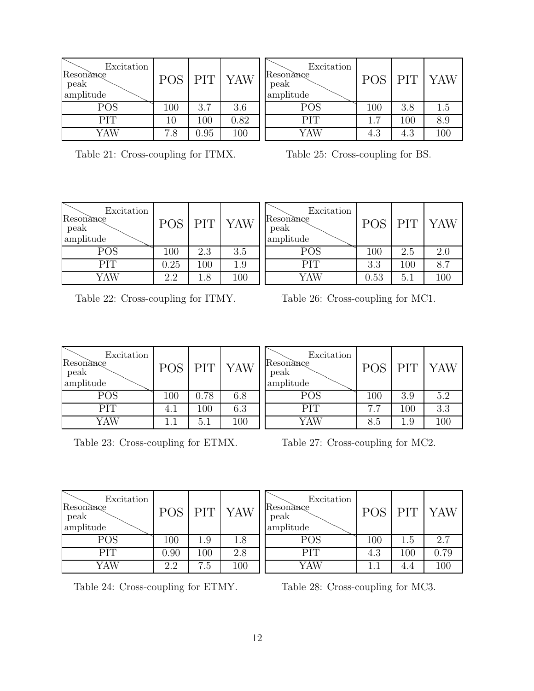| Excitation<br>Resonance<br>peak<br>amplitude | <b>POS</b> | <b>PIT</b> | YAW  | R<br>$\mathbf{a}$ |
|----------------------------------------------|------------|------------|------|-------------------|
| <b>POS</b>                                   | 100        | 3.7        | 3.6  |                   |
| PIT                                          | 10         | 100        | 0.82 |                   |
| YAW                                          | 7.8        | 0.95       | 100  |                   |

| Excitation<br>Resonance<br>peak<br>amplitude | <b>POS</b> | <b>PIT</b> | <b>YAW</b> |
|----------------------------------------------|------------|------------|------------|
| POS                                          | 100        | 3.8        | 1.5        |
| <b>PIT</b>                                   | 1.7        | 100        | 8.9        |
| YAW                                          | 4.3        | 4.3        | 100        |

Table 21: Cross-coupling for ITMX.

Table 25: Cross-coupling for BS.

| Excitation<br>Resonance<br>peak<br>amplitude | <b>POS</b> | <b>PIT</b> | <b>YAW</b> | Excitation<br>Resonance<br>peak<br>amplitude | <b>POS</b> | <b>PIT</b> | YAW |
|----------------------------------------------|------------|------------|------------|----------------------------------------------|------------|------------|-----|
| $\mathrm{POS}$                               | 100        | 2.3        | 3.5        | POS                                          | 100        | 2.5        | 2.0 |
| PIT                                          | 0.25       | $100\,$    | $1.9\,$    | PIT                                          | 3.3        | 100        | 8.7 |
| YAW                                          | 2.2        | $1.8\,$    | 100        | YAW                                          | $0.53\,$   | 5.1        | 100 |

Table 22: Cross-coupling for ITMY.

Table 26: Cross-coupling for MC1.

| Excitation<br>Resonance<br>peak<br>amplitude | POS     | PIT     | <b>YAW</b> | Excitation<br>Resonance<br>peak<br>amplitude | <b>POS</b> | PIT <sup>1</sup> | YAW |
|----------------------------------------------|---------|---------|------------|----------------------------------------------|------------|------------------|-----|
| POS                                          | $100\,$ | 0.78    | 6.8        | POS                                          | 100        | 3.9              | 5.2 |
| PIT                                          | 4.1     | $100\,$ | 6.3        | PIT                                          | 7.7        | 100              | 3.3 |
| YAW                                          |         | 5.1     | 100        | YAW                                          | 8.5        | $1.9\,$          | 100 |

Table 23: Cross-coupling for ETMX.

Table 27: Cross-coupling for MC2.

| Excitation<br>Resonance<br>peak<br>amplitude | <b>POS</b> | PIT     | <b>YAW</b> | Excitation<br>Resonance<br>peak<br>amplitude | <b>POS</b> | <b>PIT</b> | YAW  |
|----------------------------------------------|------------|---------|------------|----------------------------------------------|------------|------------|------|
| <b>POS</b>                                   | 100        | $1.9\,$ | 1.8        | POS                                          | 100        | L.b        | 2.7  |
| PIT                                          | 0.90       | $100\,$ | 2.8        | PIT                                          | 4.3        | 100        | 0.79 |
| YAW                                          | 2.2        | 7.5     | 100        | YAW                                          | 1.1        | 4.4        | 100  |

Table 24: Cross-coupling for ETMY.

Table 28: Cross-coupling for MC3.